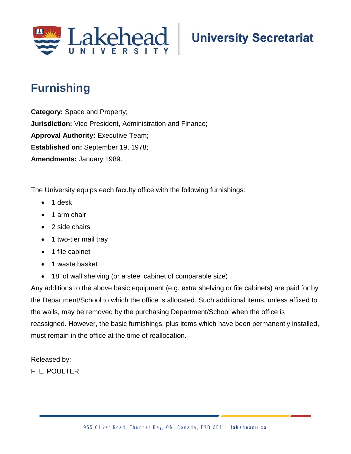

## **University Secretariat**

## **Furnishing**

**Category:** Space and Property; **Jurisdiction:** Vice President, Administration and Finance; **Approval Authority: Executive Team; Established on:** September 19, 1978; **Amendments:** January 1989.

The University equips each faculty office with the following furnishings:

- 1 desk
- 1 arm chair
- 2 side chairs
- 1 two-tier mail tray
- 1 file cabinet
- 1 waste basket
- 18' of wall shelving (or a steel cabinet of comparable size)

Any additions to the above basic equipment (e.g. extra shelving or file cabinets) are paid for by the Department/School to which the office is allocated. Such additional items, unless affixed to the walls, may be removed by the purchasing Department/School when the office is reassigned. However, the basic furnishings, plus items which have been permanently installed, must remain in the office at the time of reallocation.

Released by:

F. L. POULTER